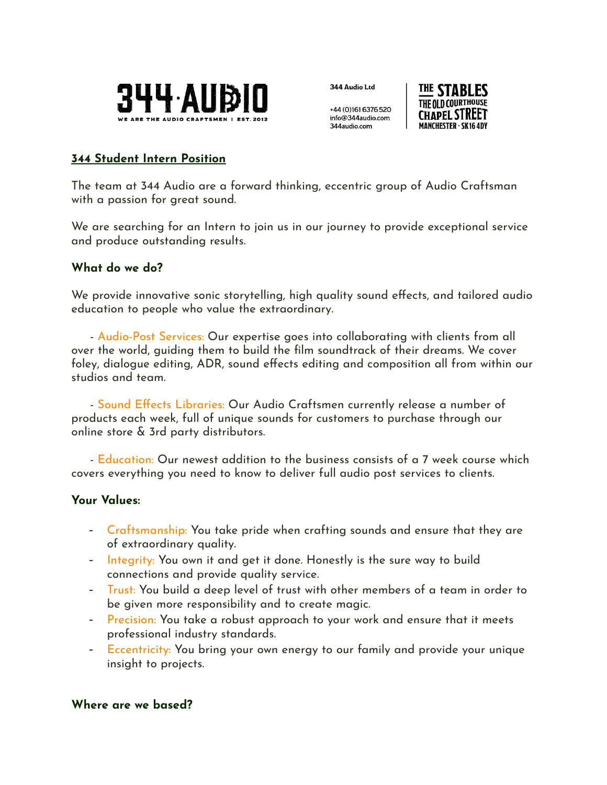

344 Audio Ltd

+44 (0)161 6376 520 info@344audio.com 344 audio.com



# **344 Student Intern Position**

The team at 344 Audio are a forward thinking, eccentric group of Audio Craftsman with a passion for great sound.

We are searching for an Intern to join us in our journey to provide exceptional service and produce outstanding results.

## **What do we do?**

We provide innovative sonic storytelling, high quality sound effects, and tailored audio education to people who value the extraordinary.

- Audio-Post Services: Our expertise goes into collaborating with clients from all over the world, guiding them to build the film soundtrack of their dreams. We cover foley, dialogue editing, ADR, sound effects editing and composition all from within our studios and team.

- Sound Effects Libraries: Our Audio Craftsmen currently release a number of products each week, full of unique sounds for customers to purchase through our online store & 3rd party distributors.

- Education: Our newest addition to the business consists of a 7 week course which covers everything you need to know to deliver full audio post services to clients.

#### **Your Values:**

- Craftsmanship: You take pride when crafting sounds and ensure that they are of extraordinary quality.
- Integrity: You own it and get it done. Honestly is the sure way to build connections and provide quality service.
- Trust: You build a deep level of trust with other members of a team in order to be given more responsibility and to create magic.
- Precision: You take a robust approach to your work and ensure that it meets professional industry standards.
- Eccentricity: You bring your own energy to our family and provide your unique insight to projects.

#### **Where are we based?**